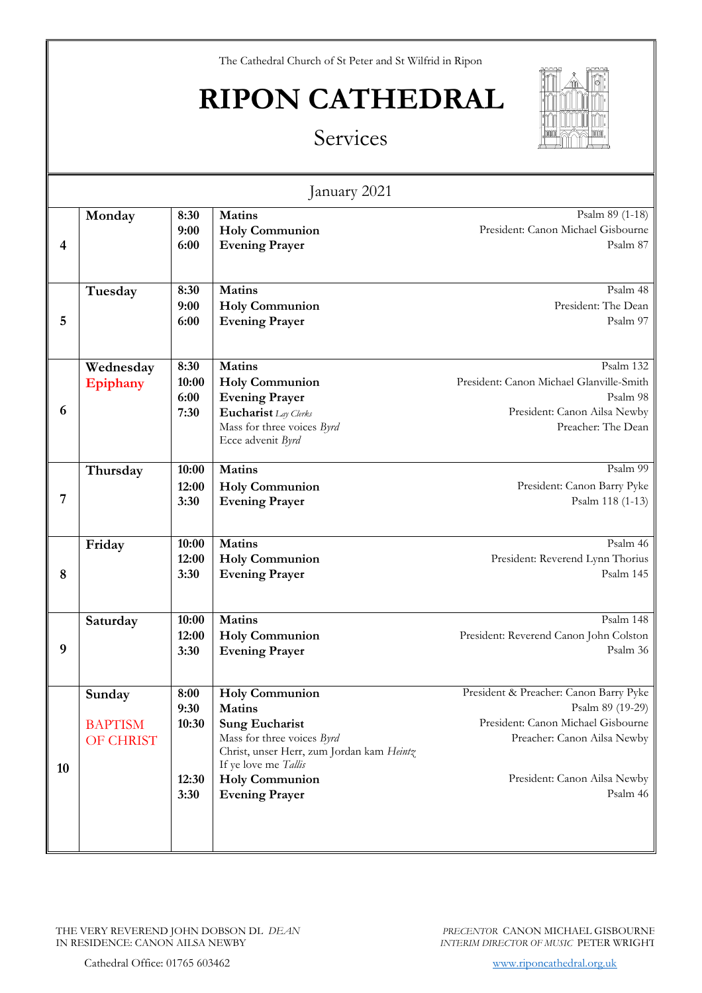## **RIPON CATHEDRAL**



| Services |  |
|----------|--|
|          |  |

| January 2021            |                                       |                                        |                                                                                                                                                                                                                      |                                                                                                                                                                             |
|-------------------------|---------------------------------------|----------------------------------------|----------------------------------------------------------------------------------------------------------------------------------------------------------------------------------------------------------------------|-----------------------------------------------------------------------------------------------------------------------------------------------------------------------------|
| $\overline{\mathbf{4}}$ | Monday                                | 8:30<br>9:00<br>6:00                   | <b>Matins</b><br><b>Holy Communion</b><br><b>Evening Prayer</b>                                                                                                                                                      | Psalm 89 (1-18)<br>President: Canon Michael Gisbourne<br>Psalm 87                                                                                                           |
| 5                       | Tuesday                               | 8:30<br>9:00<br>6:00                   | <b>Matins</b><br><b>Holy Communion</b><br><b>Evening Prayer</b>                                                                                                                                                      | Psalm 48<br>President: The Dean<br>Psalm 97                                                                                                                                 |
| 6                       | Wednesday<br>Epiphany                 | 8:30<br>10:00<br>6:00<br>7:30          | Matins<br><b>Holy Communion</b><br><b>Evening Prayer</b><br>Eucharist Lay Clerks<br>Mass for three voices Byrd<br>Ecce advenit Byrd                                                                                  | Psalm 132<br>President: Canon Michael Glanville-Smith<br>Psalm 98<br>President: Canon Ailsa Newby<br>Preacher: The Dean                                                     |
| 7                       | Thursday                              | 10:00<br>12:00<br>3:30                 | <b>Matins</b><br><b>Holy Communion</b><br><b>Evening Prayer</b>                                                                                                                                                      | Psalm 99<br>President: Canon Barry Pyke<br>Psalm 118 (1-13)                                                                                                                 |
| 8                       | Friday                                | 10:00<br>12:00<br>3:30                 | <b>Matins</b><br><b>Holy Communion</b><br><b>Evening Prayer</b>                                                                                                                                                      | Psalm 46<br>President: Reverend Lynn Thorius<br>Psalm 145                                                                                                                   |
| 9                       | Saturday                              | 10:00<br>12:00<br>3:30                 | <b>Matins</b><br><b>Holy Communion</b><br><b>Evening Prayer</b>                                                                                                                                                      | Psalm 148<br>President: Reverend Canon John Colston<br>Psalm 36                                                                                                             |
| 10                      | Sunday<br><b>BAPTISM</b><br>OF CHRIST | 8:00<br>9:30<br>10:30<br>12:30<br>3:30 | <b>Holy Communion</b><br><b>Matins</b><br><b>Sung Eucharist</b><br>Mass for three voices Byrd<br>Christ, unser Herr, zum Jordan kam Heintz<br>If ye love me Tallis<br><b>Holy Communion</b><br><b>Evening Prayer</b> | President & Preacher: Canon Barry Pyke<br>Psalm 89 (19-29)<br>President: Canon Michael Gisbourne<br>Preacher: Canon Ailsa Newby<br>President: Canon Ailsa Newby<br>Psalm 46 |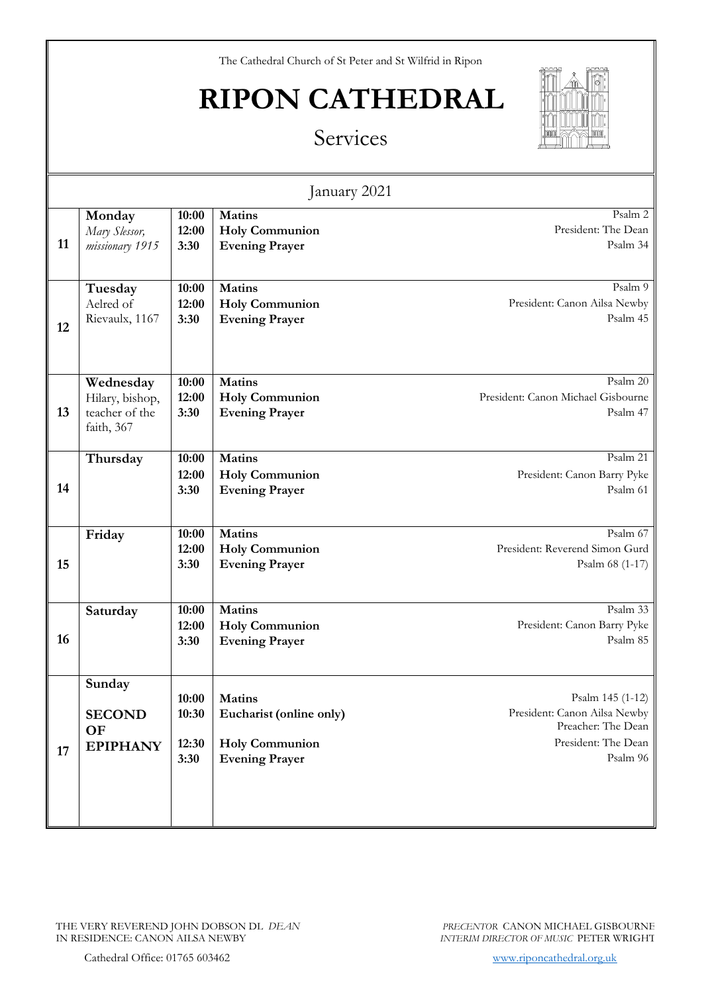## **RIPON CATHEDRAL**



| Services |  |
|----------|--|
|          |  |

| January 2021 |                                                              |                                 |                                                                                            |                                                                                                           |
|--------------|--------------------------------------------------------------|---------------------------------|--------------------------------------------------------------------------------------------|-----------------------------------------------------------------------------------------------------------|
| 11           | Monday<br>Mary Slessor,<br>missionary 1915                   | 10:00<br>12:00<br>3:30          | <b>Matins</b><br><b>Holy Communion</b><br><b>Evening Prayer</b>                            | Psalm 2<br>President: The Dean<br>Psalm 34                                                                |
| 12           | Tuesday<br>Aelred of<br>Rievaulx, 1167                       | 10:00<br>12:00<br>3:30          | <b>Matins</b><br><b>Holy Communion</b><br><b>Evening Prayer</b>                            | Psalm 9<br>President: Canon Ailsa Newby<br>Psalm 45                                                       |
| 13           | Wednesday<br>Hilary, bishop,<br>teacher of the<br>faith, 367 | 10:00<br>12:00<br>3:30          | <b>Matins</b><br><b>Holy Communion</b><br><b>Evening Prayer</b>                            | Psalm 20<br>President: Canon Michael Gisbourne<br>Psalm 47                                                |
| 14           | Thursday                                                     | 10:00<br>12:00<br>3:30          | <b>Matins</b><br><b>Holy Communion</b><br><b>Evening Prayer</b>                            | Psalm 21<br>President: Canon Barry Pyke<br>Psalm 61                                                       |
| 15           | Friday                                                       | 10:00<br>12:00<br>3:30          | <b>Matins</b><br><b>Holy Communion</b><br><b>Evening Prayer</b>                            | Psalm 67<br>President: Reverend Simon Gurd<br>Psalm 68 (1-17)                                             |
| 16           | Saturday                                                     | 10:00<br>12:00<br>3:30          | <b>Matins</b><br><b>Holy Communion</b><br><b>Evening Prayer</b>                            | Psalm 33<br>President: Canon Barry Pyke<br>Psalm 85                                                       |
| 17           | Sunday<br><b>SECOND</b><br><b>OF</b><br><b>EPIPHANY</b>      | 10:00<br>10:30<br>12:30<br>3:30 | <b>Matins</b><br>Eucharist (online only)<br><b>Holy Communion</b><br><b>Evening Prayer</b> | Psalm 145 (1-12)<br>President: Canon Ailsa Newby<br>Preacher: The Dean<br>President: The Dean<br>Psalm 96 |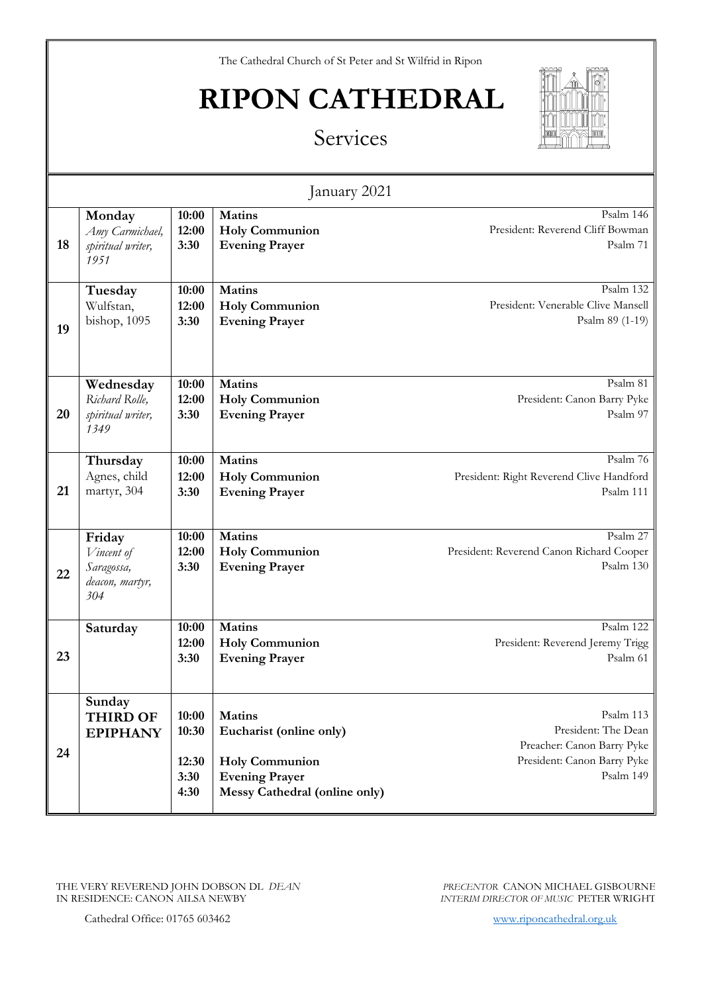## **RIPON CATHEDRAL**



|    |                                                              |                                         | January 2021                                                                                                                       |                                                                                                            |
|----|--------------------------------------------------------------|-----------------------------------------|------------------------------------------------------------------------------------------------------------------------------------|------------------------------------------------------------------------------------------------------------|
| 18 | Monday<br>Amy Carmichael,<br>spiritual writer,<br>1951       | 10:00<br>12:00<br>3:30                  | Matins<br><b>Holy Communion</b><br><b>Evening Prayer</b>                                                                           | Psalm 146<br>President: Reverend Cliff Bowman<br>Psalm 71                                                  |
| 19 | Tuesday<br>Wulfstan,<br>bishop, 1095                         | 10:00<br>12:00<br>3:30                  | Matins<br><b>Holy Communion</b><br><b>Evening Prayer</b>                                                                           | Psalm 132<br>President: Venerable Clive Mansell<br>Psalm 89 (1-19)                                         |
| 20 | Wednesday<br>Richard Rolle,<br>spiritual writer,<br>1349     | 10:00<br>12:00<br>3:30                  | <b>Matins</b><br><b>Holy Communion</b><br><b>Evening Prayer</b>                                                                    | Psalm 81<br>President: Canon Barry Pyke<br>Psalm 97                                                        |
| 21 | Thursday<br>Agnes, child<br>martyr, 304                      | 10:00<br>12:00<br>3:30                  | Matins<br><b>Holy Communion</b><br><b>Evening Prayer</b>                                                                           | Psalm 76<br>President: Right Reverend Clive Handford<br>Psalm 111                                          |
| 22 | Friday<br>Vincent of<br>Saragossa,<br>deacon, martyr,<br>304 | 10:00<br>12:00<br>3:30                  | <b>Matins</b><br><b>Holy Communion</b><br><b>Evening Prayer</b>                                                                    | Psalm 27<br>President: Reverend Canon Richard Cooper<br>Psalm 130                                          |
| 23 | Saturday                                                     | 10:00<br>12:00<br>3:30                  | Matins<br><b>Holy Communion</b><br><b>Evening Prayer</b>                                                                           | Psalm 122<br>President: Reverend Jeremy Trigg<br>Psalm 61                                                  |
| 24 | Sunday<br><b>THIRD OF</b><br><b>EPIPHANY</b>                 | 10:00<br>10:30<br>12:30<br>3:30<br>4:30 | <b>Matins</b><br>Eucharist (online only)<br><b>Holy Communion</b><br><b>Evening Prayer</b><br><b>Messy Cathedral (online only)</b> | Psalm 113<br>President: The Dean<br>Preacher: Canon Barry Pyke<br>President: Canon Barry Pyke<br>Psalm 149 |

THE VERY REVEREND JOHN DOBSON DL *DEAN* IN RESIDENCE: CANON AILSA NEWBY

*PRECENTOR* CANON MICHAEL GISBOURNE *INTERIM DIRECTOR OF MUSIC* PETER WRIGHT

Cathedral Office: 01765 603462 [www.riponcathedral.org.uk](http://www.riponcathedral.org.uk/)